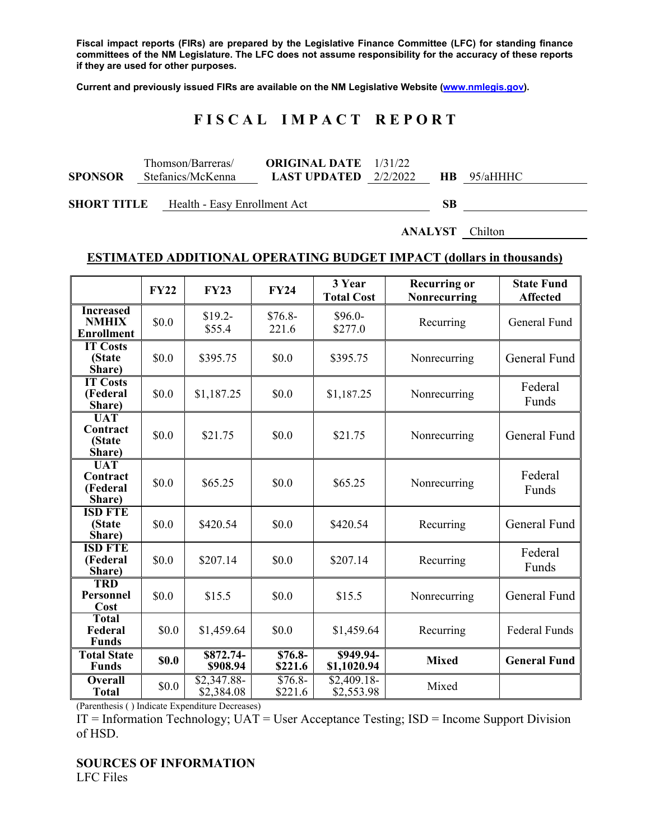**Fiscal impact reports (FIRs) are prepared by the Legislative Finance Committee (LFC) for standing finance committees of the NM Legislature. The LFC does not assume responsibility for the accuracy of these reports if they are used for other purposes.** 

**Current and previously issued FIRs are available on the NM Legislative Website (www.nmlegis.gov).** 

# **F I S C A L I M P A C T R E P O R T**

|                | Thomson/Barreras/ | <b>ORIGINAL DATE</b> 1/31/22                         |  |  |
|----------------|-------------------|------------------------------------------------------|--|--|
| <b>SPONSOR</b> | Stefanics/McKenna | <b>LAST UPDATED</b> $2/2/2022$ <b>HB</b> $95/4$ HHHC |  |  |

**SHORT TITLE** Health - Easy Enrollment Act **SB** 

**ANALYST** Chilton

#### **ESTIMATED ADDITIONAL OPERATING BUDGET IMPACT (dollars in thousands)**

|                                                       | <b>FY22</b> | <b>FY23</b>               | <b>FY24</b>         | 3 Year<br><b>Total Cost</b> | <b>Recurring or</b><br>Nonrecurring | <b>State Fund</b><br><b>Affected</b> |
|-------------------------------------------------------|-------------|---------------------------|---------------------|-----------------------------|-------------------------------------|--------------------------------------|
| <b>Increased</b><br><b>NMHIX</b><br><b>Enrollment</b> | \$0.0       | $$19.2-$<br>\$55.4        | $$76.8-$<br>221.6   | $$96.0-$<br>\$277.0         | Recurring                           | General Fund                         |
| <b>IT Costs</b><br>(State<br>Share)                   | \$0.0       | \$395.75                  | \$0.0               | \$395.75                    | Nonrecurring                        | General Fund                         |
| <b>IT Costs</b><br>(Federal<br>Share)                 | \$0.0       | \$1,187.25                | \$0.0               | \$1,187.25                  | Nonrecurring                        | Federal<br>Funds                     |
| <b>UAT</b><br>Contract<br>(State<br>Share)            | \$0.0       | \$21.75                   | \$0.0               | \$21.75                     | Nonrecurring                        | General Fund                         |
| <b>UAT</b><br>Contract<br>(Federal<br>Share)          | \$0.0       | \$65.25                   | \$0.0               | \$65.25                     | Nonrecurring                        | Federal<br>Funds                     |
| <b>ISD FTE</b><br>(State<br>Share)                    | \$0.0       | \$420.54                  | \$0.0               | \$420.54                    | Recurring                           | General Fund                         |
| <b>ISD FTE</b><br>(Federal<br>Share)                  | \$0.0       | \$207.14                  | \$0.0               | \$207.14                    | Recurring                           | Federal<br>Funds                     |
| <b>TRD</b><br>Personnel<br>Cost                       | \$0.0       | \$15.5                    | \$0.0               | \$15.5                      | Nonrecurring                        | General Fund                         |
| <b>Total</b><br>Federal<br><b>Funds</b>               | \$0.0       | \$1,459.64                | \$0.0               | \$1,459.64                  | Recurring                           | Federal Funds                        |
| <b>Total State</b><br><b>Funds</b>                    | \$0.0       | \$872.74-<br>\$908.94     | $$76.8-$<br>\$221.6 | \$949.94-<br>\$1,1020.94    | <b>Mixed</b>                        | <b>General Fund</b>                  |
| <b>Overall</b><br><b>Total</b>                        | \$0.0       | \$2,347.88-<br>\$2,384.08 | $$76.8-$<br>\$221.6 | $$2,409.18-$<br>\$2,553.98  | Mixed                               |                                      |

(Parenthesis ( ) Indicate Expenditure Decreases)

 $IT = Information Technology$ ;  $UAT = User Acceptance Testing$ ;  $ISD = Income Support Division$ of HSD.

### **SOURCES OF INFORMATION**

LFC Files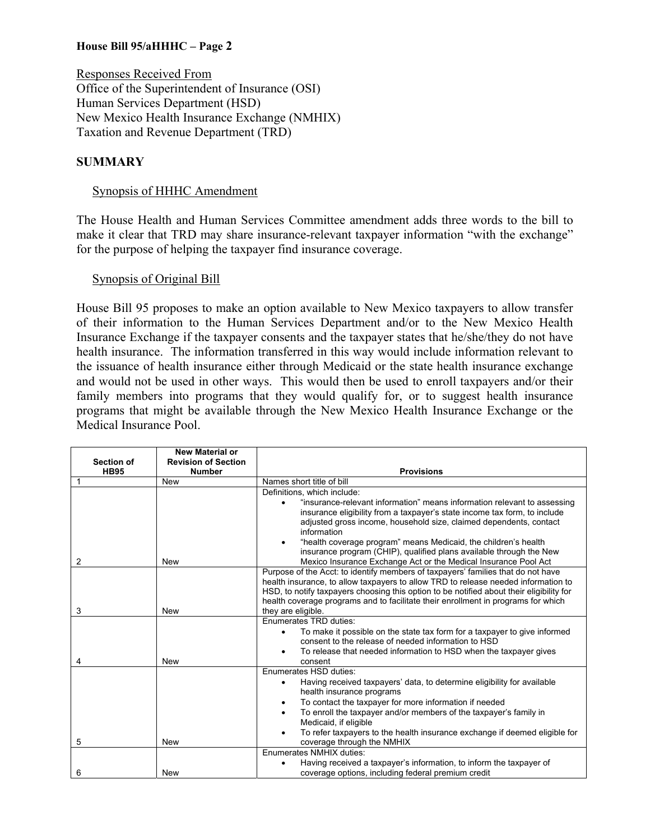## **House Bill 95/aHHHC – Page 2**

Responses Received From Office of the Superintendent of Insurance (OSI) Human Services Department (HSD) New Mexico Health Insurance Exchange (NMHIX) Taxation and Revenue Department (TRD)

#### **SUMMARY**

#### Synopsis of HHHC Amendment

The House Health and Human Services Committee amendment adds three words to the bill to make it clear that TRD may share insurance-relevant taxpayer information "with the exchange" for the purpose of helping the taxpayer find insurance coverage.

#### Synopsis of Original Bill

House Bill 95 proposes to make an option available to New Mexico taxpayers to allow transfer of their information to the Human Services Department and/or to the New Mexico Health Insurance Exchange if the taxpayer consents and the taxpayer states that he/she/they do not have health insurance. The information transferred in this way would include information relevant to the issuance of health insurance either through Medicaid or the state health insurance exchange and would not be used in other ways. This would then be used to enroll taxpayers and/or their family members into programs that they would qualify for, or to suggest health insurance programs that might be available through the New Mexico Health Insurance Exchange or the Medical Insurance Pool.

| <b>Section of</b> | <b>New Material or</b><br><b>Revision of Section</b> |                                                                                                                                                                               |  |  |
|-------------------|------------------------------------------------------|-------------------------------------------------------------------------------------------------------------------------------------------------------------------------------|--|--|
| <b>HB95</b>       | <b>Number</b>                                        | <b>Provisions</b>                                                                                                                                                             |  |  |
|                   | <b>New</b>                                           | Names short title of bill                                                                                                                                                     |  |  |
|                   |                                                      | Definitions, which include:                                                                                                                                                   |  |  |
|                   |                                                      | "insurance-relevant information" means information relevant to assessing                                                                                                      |  |  |
|                   |                                                      | insurance eligibility from a taxpayer's state income tax form, to include                                                                                                     |  |  |
|                   |                                                      | adjusted gross income, household size, claimed dependents, contact<br>information                                                                                             |  |  |
|                   |                                                      | "health coverage program" means Medicaid, the children's health                                                                                                               |  |  |
|                   |                                                      | insurance program (CHIP), qualified plans available through the New                                                                                                           |  |  |
| 2                 | <b>New</b>                                           | Mexico Insurance Exchange Act or the Medical Insurance Pool Act                                                                                                               |  |  |
|                   |                                                      | Purpose of the Acct: to identify members of taxpayers' families that do not have                                                                                              |  |  |
|                   |                                                      | health insurance, to allow taxpayers to allow TRD to release needed information to                                                                                            |  |  |
|                   |                                                      | HSD, to notify taxpayers choosing this option to be notified about their eligibility for<br>health coverage programs and to facilitate their enrollment in programs for which |  |  |
| 3                 | <b>New</b>                                           | they are eligible.                                                                                                                                                            |  |  |
|                   |                                                      | Enumerates TRD duties:                                                                                                                                                        |  |  |
|                   |                                                      | To make it possible on the state tax form for a taxpayer to give informed                                                                                                     |  |  |
|                   |                                                      | consent to the release of needed information to HSD                                                                                                                           |  |  |
|                   |                                                      | To release that needed information to HSD when the taxpayer gives                                                                                                             |  |  |
| 4                 | <b>New</b>                                           | consent                                                                                                                                                                       |  |  |
|                   |                                                      | Enumerates HSD duties:                                                                                                                                                        |  |  |
|                   |                                                      | Having received taxpayers' data, to determine eligibility for available<br>٠                                                                                                  |  |  |
|                   |                                                      | health insurance programs                                                                                                                                                     |  |  |
|                   |                                                      | To contact the taxpayer for more information if needed<br>٠                                                                                                                   |  |  |
|                   |                                                      | To enroll the taxpayer and/or members of the taxpayer's family in<br>٠<br>Medicaid, if eligible                                                                               |  |  |
|                   |                                                      | To refer taxpayers to the health insurance exchange if deemed eligible for                                                                                                    |  |  |
| 5                 | <b>New</b>                                           | coverage through the NMHIX                                                                                                                                                    |  |  |
|                   |                                                      | <b>Enumerates NMHIX duties:</b>                                                                                                                                               |  |  |
|                   |                                                      | Having received a taxpayer's information, to inform the taxpayer of                                                                                                           |  |  |
| 6                 | <b>New</b>                                           | coverage options, including federal premium credit                                                                                                                            |  |  |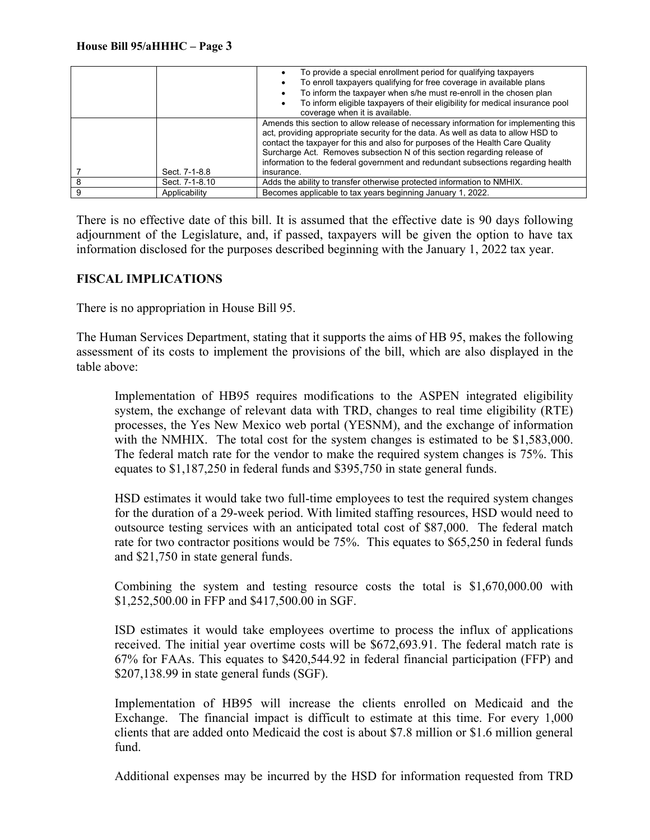|                | To provide a special enrollment period for qualifying taxpayers<br>To enroll taxpayers qualifying for free coverage in available plans<br>To inform the taxpayer when s/he must re-enroll in the chosen plan<br>To inform eligible taxpayers of their eligibility for medical insurance pool<br>coverage when it is available.                                                                                                           |
|----------------|------------------------------------------------------------------------------------------------------------------------------------------------------------------------------------------------------------------------------------------------------------------------------------------------------------------------------------------------------------------------------------------------------------------------------------------|
| Sect. 7-1-8.8  | Amends this section to allow release of necessary information for implementing this<br>act, providing appropriate security for the data. As well as data to allow HSD to<br>contact the taxpayer for this and also for purposes of the Health Care Quality<br>Surcharge Act. Removes subsection N of this section regarding release of<br>information to the federal government and redundant subsections regarding health<br>insurance. |
| Sect. 7-1-8.10 | Adds the ability to transfer otherwise protected information to NMHIX.                                                                                                                                                                                                                                                                                                                                                                   |
| Applicability  | Becomes applicable to tax years beginning January 1, 2022.                                                                                                                                                                                                                                                                                                                                                                               |

There is no effective date of this bill. It is assumed that the effective date is 90 days following adjournment of the Legislature, and, if passed, taxpayers will be given the option to have tax information disclosed for the purposes described beginning with the January 1, 2022 tax year.

## **FISCAL IMPLICATIONS**

There is no appropriation in House Bill 95.

The Human Services Department, stating that it supports the aims of HB 95, makes the following assessment of its costs to implement the provisions of the bill, which are also displayed in the table above:

Implementation of HB95 requires modifications to the ASPEN integrated eligibility system, the exchange of relevant data with TRD, changes to real time eligibility (RTE) processes, the Yes New Mexico web portal (YESNM), and the exchange of information with the NMHIX. The total cost for the system changes is estimated to be \$1,583,000. The federal match rate for the vendor to make the required system changes is 75%. This equates to \$1,187,250 in federal funds and \$395,750 in state general funds.

HSD estimates it would take two full-time employees to test the required system changes for the duration of a 29-week period. With limited staffing resources, HSD would need to outsource testing services with an anticipated total cost of \$87,000. The federal match rate for two contractor positions would be 75%. This equates to \$65,250 in federal funds and \$21,750 in state general funds.

Combining the system and testing resource costs the total is \$1,670,000.00 with \$1,252,500.00 in FFP and \$417,500.00 in SGF.

ISD estimates it would take employees overtime to process the influx of applications received. The initial year overtime costs will be \$672,693.91. The federal match rate is 67% for FAAs. This equates to \$420,544.92 in federal financial participation (FFP) and \$207,138.99 in state general funds (SGF).

Implementation of HB95 will increase the clients enrolled on Medicaid and the Exchange. The financial impact is difficult to estimate at this time. For every 1,000 clients that are added onto Medicaid the cost is about \$7.8 million or \$1.6 million general fund.

Additional expenses may be incurred by the HSD for information requested from TRD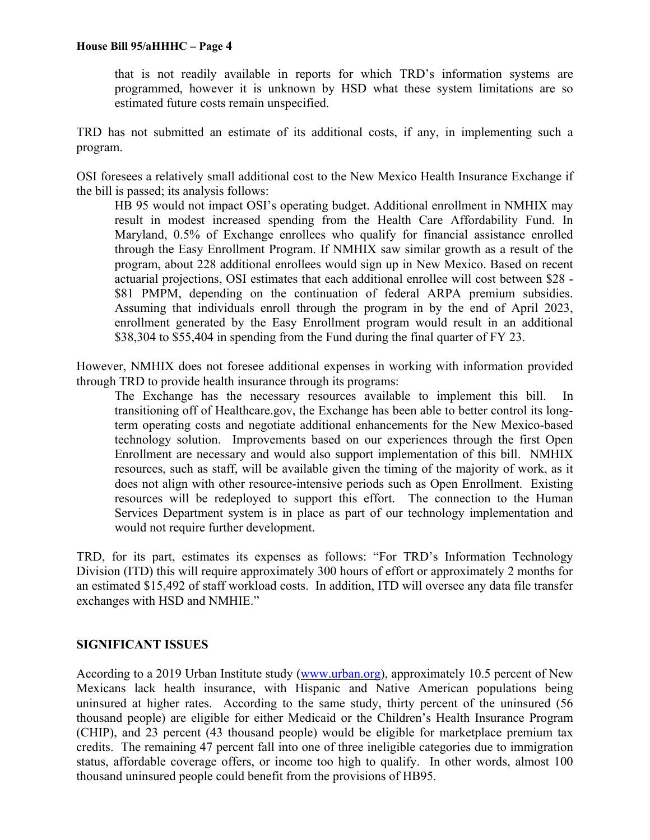that is not readily available in reports for which TRD's information systems are programmed, however it is unknown by HSD what these system limitations are so estimated future costs remain unspecified.

TRD has not submitted an estimate of its additional costs, if any, in implementing such a program.

OSI foresees a relatively small additional cost to the New Mexico Health Insurance Exchange if the bill is passed; its analysis follows:

HB 95 would not impact OSI's operating budget. Additional enrollment in NMHIX may result in modest increased spending from the Health Care Affordability Fund. In Maryland, 0.5% of Exchange enrollees who qualify for financial assistance enrolled through the Easy Enrollment Program. If NMHIX saw similar growth as a result of the program, about 228 additional enrollees would sign up in New Mexico. Based on recent actuarial projections, OSI estimates that each additional enrollee will cost between \$28 - \$81 PMPM, depending on the continuation of federal ARPA premium subsidies. Assuming that individuals enroll through the program in by the end of April 2023, enrollment generated by the Easy Enrollment program would result in an additional \$38,304 to \$55,404 in spending from the Fund during the final quarter of FY 23.

However, NMHIX does not foresee additional expenses in working with information provided through TRD to provide health insurance through its programs:

The Exchange has the necessary resources available to implement this bill. In transitioning off of Healthcare.gov, the Exchange has been able to better control its longterm operating costs and negotiate additional enhancements for the New Mexico-based technology solution. Improvements based on our experiences through the first Open Enrollment are necessary and would also support implementation of this bill. NMHIX resources, such as staff, will be available given the timing of the majority of work, as it does not align with other resource-intensive periods such as Open Enrollment. Existing resources will be redeployed to support this effort. The connection to the Human Services Department system is in place as part of our technology implementation and would not require further development.

TRD, for its part, estimates its expenses as follows: "For TRD's Information Technology Division (ITD) this will require approximately 300 hours of effort or approximately 2 months for an estimated \$15,492 of staff workload costs. In addition, ITD will oversee any data file transfer exchanges with HSD and NMHIE."

# **SIGNIFICANT ISSUES**

According to a 2019 Urban Institute study (www.urban.org), approximately 10.5 percent of New Mexicans lack health insurance, with Hispanic and Native American populations being uninsured at higher rates. According to the same study, thirty percent of the uninsured (56 thousand people) are eligible for either Medicaid or the Children's Health Insurance Program (CHIP), and 23 percent (43 thousand people) would be eligible for marketplace premium tax credits. The remaining 47 percent fall into one of three ineligible categories due to immigration status, affordable coverage offers, or income too high to qualify. In other words, almost 100 thousand uninsured people could benefit from the provisions of HB95.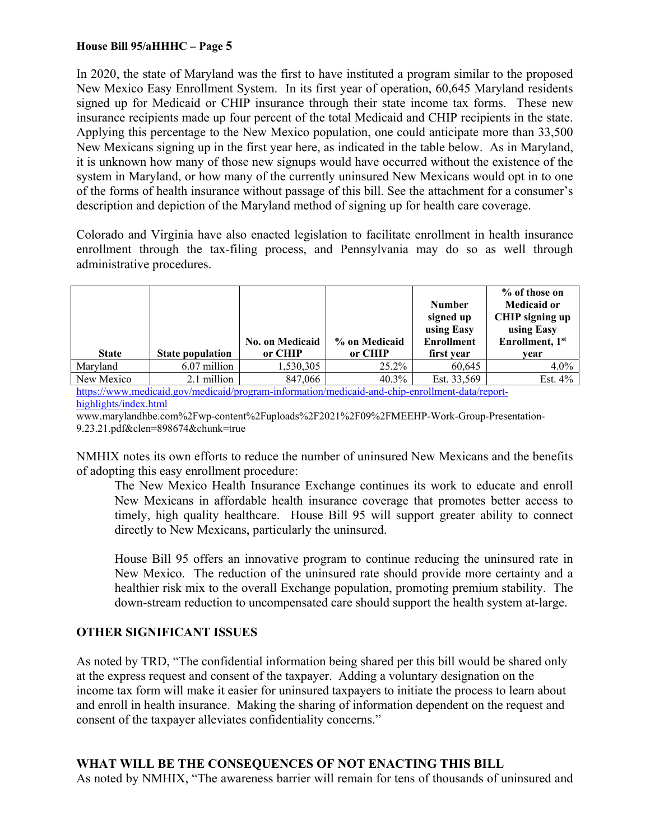## **House Bill 95/aHHHC – Page 5**

In 2020, the state of Maryland was the first to have instituted a program similar to the proposed New Mexico Easy Enrollment System. In its first year of operation, 60,645 Maryland residents signed up for Medicaid or CHIP insurance through their state income tax forms. These new insurance recipients made up four percent of the total Medicaid and CHIP recipients in the state. Applying this percentage to the New Mexico population, one could anticipate more than 33,500 New Mexicans signing up in the first year here, as indicated in the table below. As in Maryland, it is unknown how many of those new signups would have occurred without the existence of the system in Maryland, or how many of the currently uninsured New Mexicans would opt in to one of the forms of health insurance without passage of this bill. See the attachment for a consumer's description and depiction of the Maryland method of signing up for health care coverage.

Colorado and Virginia have also enacted legislation to facilitate enrollment in health insurance enrollment through the tax-filing process, and Pennsylvania may do so as well through administrative procedures.

|              |                         | <b>No. on Medicaid</b> | % on Medicaid | <b>Number</b><br>signed up<br>using Easy<br><b>Enrollment</b> | % of those on<br><b>Medicaid or</b><br>CHIP signing up<br>using Easy<br>Enrollment, 1 <sup>st</sup> |
|--------------|-------------------------|------------------------|---------------|---------------------------------------------------------------|-----------------------------------------------------------------------------------------------------|
| <b>State</b> | <b>State population</b> | or CHIP                | or CHIP       | first year                                                    | vear                                                                                                |
| Marvland     | 6.07 million            | 1,530,305              | 25.2%         | 60.645                                                        | $4.0\%$                                                                                             |
| New Mexico   | 2.1 million             | 847,066                | $40.3\%$      | Est. 33,569                                                   | Est. $4\%$                                                                                          |

https://www.medicaid.gov/medicaid/program-information/medicaid-and-chip-enrollment-data/reporthighlights/index.html

www.marylandhbe.com%2Fwp-content%2Fuploads%2F2021%2F09%2FMEEHP-Work-Group-Presentation-9.23.21.pdf&clen=898674&chunk=true

NMHIX notes its own efforts to reduce the number of uninsured New Mexicans and the benefits of adopting this easy enrollment procedure:

The New Mexico Health Insurance Exchange continues its work to educate and enroll New Mexicans in affordable health insurance coverage that promotes better access to timely, high quality healthcare. House Bill 95 will support greater ability to connect directly to New Mexicans, particularly the uninsured.

House Bill 95 offers an innovative program to continue reducing the uninsured rate in New Mexico. The reduction of the uninsured rate should provide more certainty and a healthier risk mix to the overall Exchange population, promoting premium stability. The down-stream reduction to uncompensated care should support the health system at-large.

# **OTHER SIGNIFICANT ISSUES**

As noted by TRD, "The confidential information being shared per this bill would be shared only at the express request and consent of the taxpayer. Adding a voluntary designation on the income tax form will make it easier for uninsured taxpayers to initiate the process to learn about and enroll in health insurance. Making the sharing of information dependent on the request and consent of the taxpayer alleviates confidentiality concerns."

# **WHAT WILL BE THE CONSEQUENCES OF NOT ENACTING THIS BILL**

As noted by NMHIX, "The awareness barrier will remain for tens of thousands of uninsured and